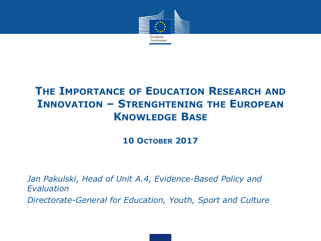

## **THE IMPORTANCE OF EDUCATION RESEARCH AND INNOVATION – STRENGHTENING THE EUROPEAN KNOWLEDGE BASE**

**10 OCTOBER 2017** 

*Jan Pakulski, Head of Unit A.4, Evidence-Based Policy and Evaluation Directorate-General for Education, Youth, Sport and Culture*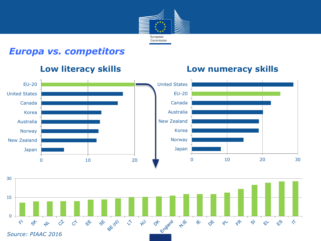

### *Europa vs. competitors*

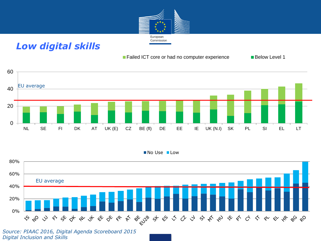

### *Low digital skills*

### ■ Failed ICT core or had no computer experience ■ Below Level 1





#### No Use Low



*Source: PIAAC 2016, Digital Agenda Scoreboard 2015 Digital Inclusion and Skills*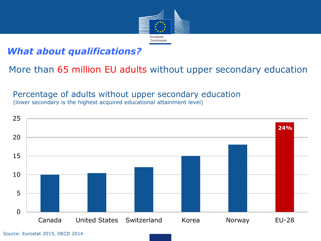

### *What about qualifications?*

More than 65 million EU adults without upper secondary education

Percentage of adults without upper secondary education (lower secondary is the highest acquired educational attainment level)

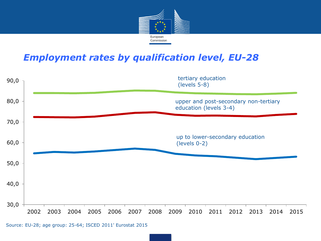

### *Employment rates by qualification level, EU-28*



Source: EU-28; age group: 25-64; ISCED 2011' Eurostat 2015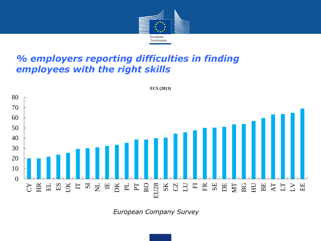

### *% employers reporting difficulties in finding employees with the right skills*



*European Company Survey*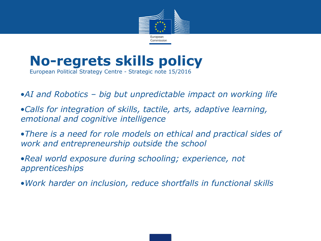

### **No-regrets skills policy**  European Political Strategy Centre - Strategic note 15/2016

•*AI and Robotics – big but unpredictable impact on working life*

•*Calls for integration of skills, tactile, arts, adaptive learning, emotional and cognitive intelligence*

•*There is a need for role models on ethical and practical sides of work and entrepreneurship outside the school*

•*Real world exposure during schooling; experience, not apprenticeships*

•*Work harder on inclusion, reduce shortfalls in functional skills*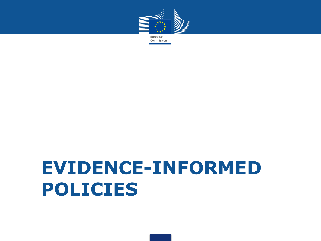

# **EVIDENCE-INFORMED POLICIES**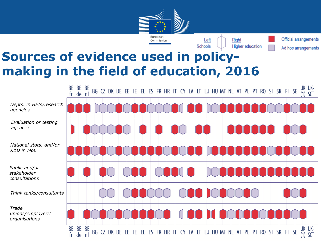



Official arrangements Ad hoc arrangements

# **Sources of evidence used in policymaking in the field of education, 2016**

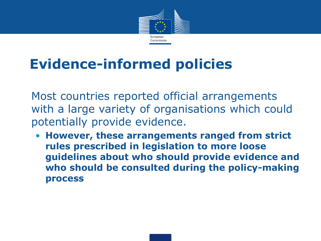

# **Evidence-informed policies**

Most countries reported official arrangements with a large variety of organisations which could potentially provide evidence.

• **However, these arrangements ranged from strict rules prescribed in legislation to more loose guidelines about who should provide evidence and who should be consulted during the policy-making process**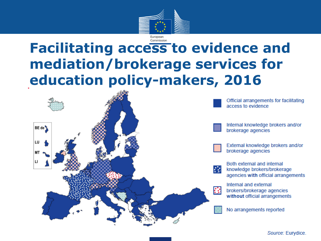

## Commission **Facilitating access to evidence and mediation/brokerage services for education policy-makers, 2016**

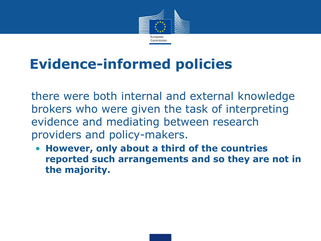

# **Evidence-informed policies**

there were both internal and external knowledge brokers who were given the task of interpreting evidence and mediating between research providers and policy-makers.

• **However, only about a third of the countries reported such arrangements and so they are not in the majority.**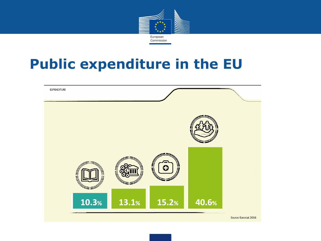

# **Public expenditure in the EU**

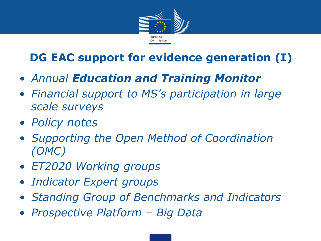

# **DG EAC support for evidence generation (I)**

- *Annual Education and Training Monitor*
- *Financial support to MS's participation in large scale surveys*
- *Policy notes*
- *Supporting the Open Method of Coordination (OMC)*
- *ET2020 Working groups*
- *Indicator Expert groups*
- *Standing Group of Benchmarks and Indicators*
- *Prospective Platform – Big Data*